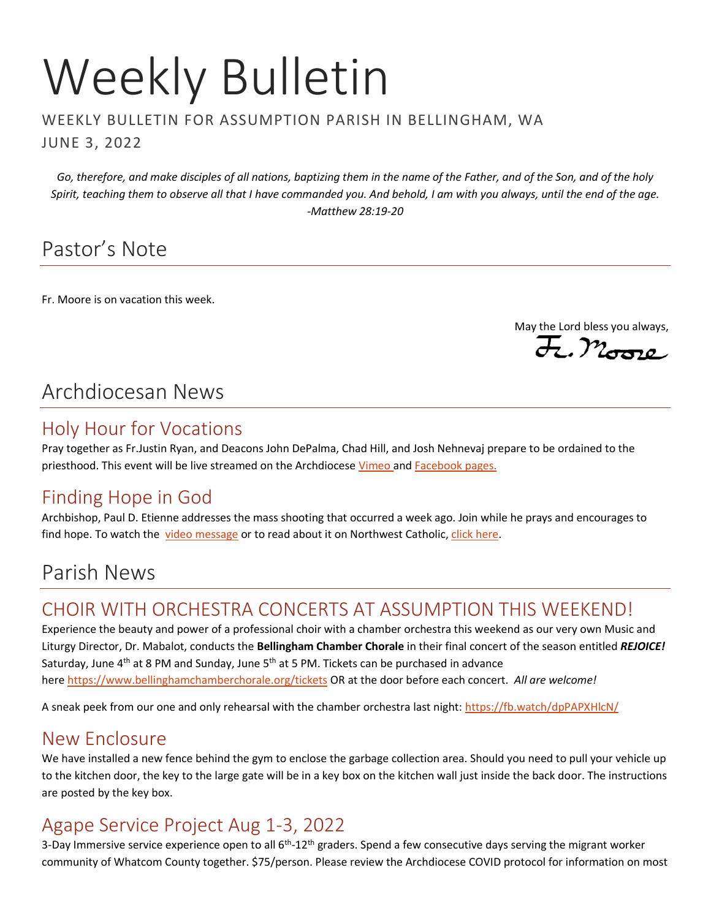# Weekly Bulletin

#### WEEKLY BULLETIN FOR ASSUMPTION PARISH IN BELLINGHAM, WA JUNE 3, 2022

*Go, therefore, and make disciples of all nations, baptizing them in the name of the Father, and of the Son, and of the holy Spirit, teaching them to observe all that I have commanded you. And behold, I am with you always, until the end of the age. -Matthew 28:19-20*

## Pastor's Note

Fr. Moore is on vacation this week.

May the Lord bless you always,

## Archdiocesan News

#### Holy Hour for Vocations

Pray together as Fr.Justin Ryan, and Deacons John DePalma, Chad Hill, and Josh Nehnevaj prepare to be ordained to the priesthood. This event will be live streamed on the Archdiocese [Vimeo](https://vimeo.com/archdioceseofseattle) and [Facebook](https://www.facebook.com/ArchdioceseofSeattle/) pages.

## Finding Hope in God

Archbishop, Paul D. Etienne addresses the mass shooting that occurred a week ago. Join while he prays and encourages to find hope. To watch the [video message](https://vimeo.com/713879347) or to read about it on Northwest Catholic[, click here.](https://nwcatholic.org/news/northwest-catholic/find-hope-in-god-rediscover-human-dignity-after-mass-shootings-archbishop-says)

## Parish News

#### CHOIR WITH ORCHESTRA CONCERTS AT ASSUMPTION THIS WEEKEND!

Experience the beauty and power of a professional choir with a chamber orchestra this weekend as our very own Music and Liturgy Director, Dr. Mabalot, conducts the **Bellingham Chamber Chorale** in their final concert of the season entitled *REJOICE!* Saturday, June  $4<sup>th</sup>$  at 8 PM and Sunday, June 5<sup>th</sup> at 5 PM. Tickets can be purchased in advance here <https://www.bellinghamchamberchorale.org/tickets> OR at the door before each concert. *All are welcome!* 

A sneak peek from our one and only rehearsal with the chamber orchestra last night[: https://fb.watch/dpPAPXHlcN/](https://fb.watch/dpPAPXHlcN/)

#### New Enclosure

We have installed a new fence behind the gym to enclose the garbage collection area. Should you need to pull your vehicle up to the kitchen door, the key to the large gate will be in a key box on the kitchen wall just inside the back door. The instructions are posted by the key box.

## Agape Service Project Aug 1-3, 2022

3-Day Immersive service experience open to all 6<sup>th</sup>-12<sup>th</sup> graders. Spend a few consecutive days serving the migrant worker community of Whatcom County together. \$75/person. Please review the Archdiocese COVID protocol for information on most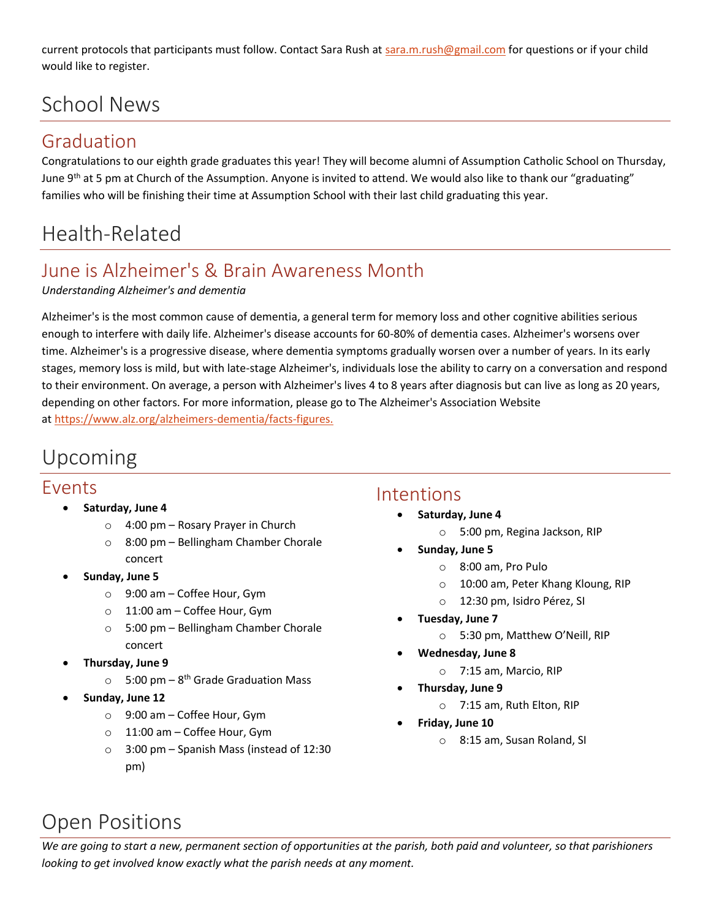current protocols that participants must follow. Contact Sara Rush at [sara.m.rush@gmail.com](mailto:sara.m.rush@gmail.com) for questions or if your child would like to register.

## School News

#### Graduation

Congratulations to our eighth grade graduates this year! They will become alumni of Assumption Catholic School on Thursday, June 9<sup>th</sup> at 5 pm at Church of the Assumption. Anyone is invited to attend. We would also like to thank our "graduating" families who will be finishing their time at Assumption School with their last child graduating this year.

# Health-Related

## June is Alzheimer's & Brain Awareness Month

#### *Understanding Alzheimer's and dementia*

Alzheimer's is the most common cause of dementia, a general term for memory loss and other cognitive abilities serious enough to interfere with daily life. Alzheimer's disease accounts for 60-80% of dementia cases. Alzheimer's worsens over time. Alzheimer's is a progressive disease, where dementia symptoms gradually worsen over a number of years. In its early stages, memory loss is mild, but with late-stage Alzheimer's, individuals lose the ability to carry on a conversation and respond to their environment. On average, a person with Alzheimer's lives 4 to 8 years after diagnosis but can live as long as 20 years, depending on other factors. For more information, please go to The Alzheimer's Association Website at [https://www.alz.org/alzheimers-dementia/facts-figures.](https://www.alz.org/alzheimers-dementia/facts-figures)

## Upcoming

#### Events

- **Saturday, June 4**
	- o 4:00 pm Rosary Prayer in Church
	- o 8:00 pm Bellingham Chamber Chorale concert
- **Sunday, June 5**
	- o 9:00 am Coffee Hour, Gym
	- o 11:00 am Coffee Hour, Gym
	- o 5:00 pm Bellingham Chamber Chorale concert
- **Thursday, June 9**
	- $\circ$  5:00 pm 8<sup>th</sup> Grade Graduation Mass
- **Sunday, June 12**
	- o 9:00 am Coffee Hour, Gym
	- o 11:00 am Coffee Hour, Gym
	- o 3:00 pm Spanish Mass (instead of 12:30 pm)

#### Intentions

- **Saturday, June 4**
	- o 5:00 pm, Regina Jackson, RIP
- **Sunday, June 5**
	- o 8:00 am, Pro Pulo
	- o 10:00 am, Peter Khang Kloung, RIP
	- o 12:30 pm, Isidro Pérez, SI
- **Tuesday, June 7**
	- o 5:30 pm, Matthew O'Neill, RIP
- **Wednesday, June 8**
	- o 7:15 am, Marcio, RIP
- **Thursday, June 9**
	- o 7:15 am, Ruth Elton, RIP
- **Friday, June 10**
	- o 8:15 am, Susan Roland, SI

# Open Positions

*We are going to start a new, permanent section of opportunities at the parish, both paid and volunteer, so that parishioners looking to get involved know exactly what the parish needs at any moment.*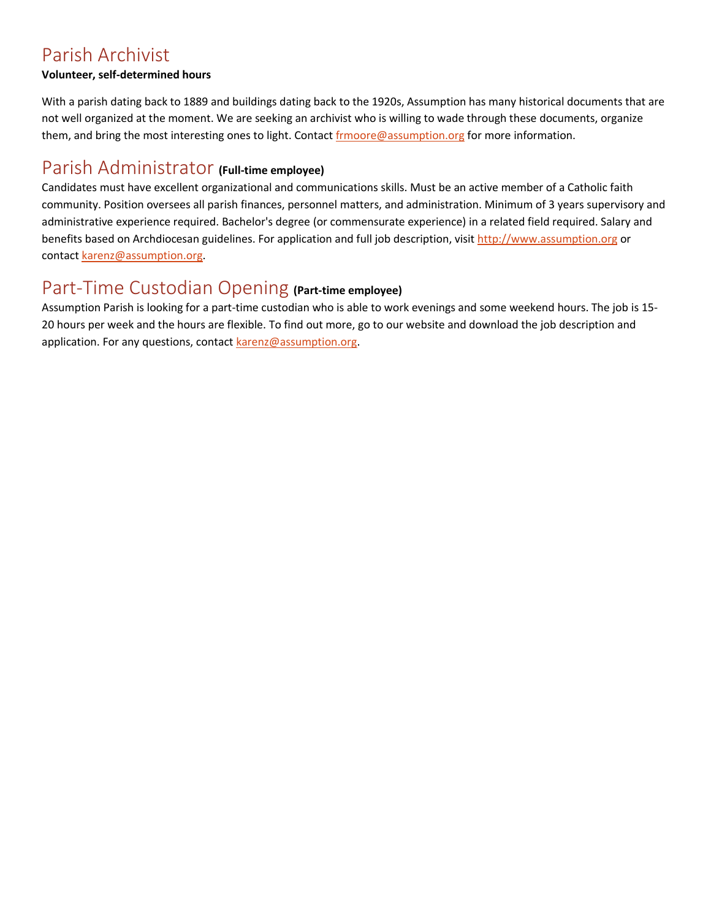#### Parish Archivist

#### **Volunteer, self-determined hours**

With a parish dating back to 1889 and buildings dating back to the 1920s, Assumption has many historical documents that are not well organized at the moment. We are seeking an archivist who is willing to wade through these documents, organize them, and bring the most interesting ones to light. Contact [frmoore@assumption.org](mailto:frmoore@assumption.org) for more information.

#### Parish Administrator **(Full-time employee)**

Candidates must have excellent organizational and communications skills. Must be an active member of a Catholic faith community. Position oversees all parish finances, personnel matters, and administration. Minimum of 3 years supervisory and administrative experience required. Bachelor's degree (or commensurate experience) in a related field required. Salary and benefits based on Archdiocesan guidelines. For application and full job description, visit [http://www.assumption.org](http://www.assumption.org/) or contac[t karenz@assumption.org.](mailto:karenz@assumption.org)

#### Part-Time Custodian Opening **(Part-time employee)**

Assumption Parish is looking for a part-time custodian who is able to work evenings and some weekend hours. The job is 15- 20 hours per week and the hours are flexible. To find out more, go to our website and download the job description and application. For any questions, contact [karenz@assumption.org.](mailto:karenz@assumption.org)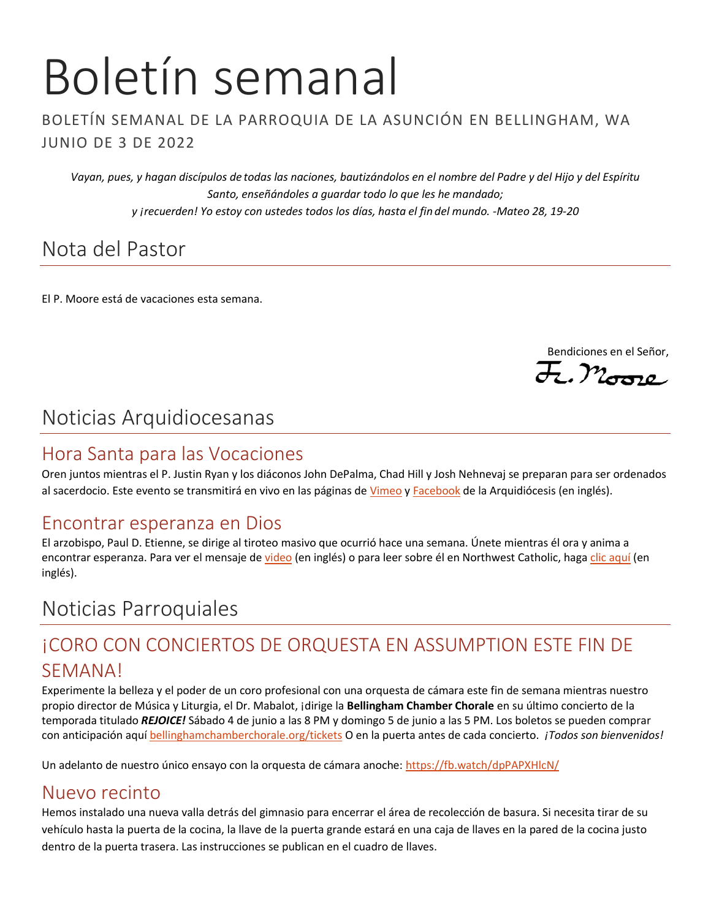# Boletín semanal

#### BOLETÍN SEMANAL DE LA PARROQUIA DE LA ASUNCIÓN EN BELLINGHAM, WA JUNIO DE 3 DE 2022

*Vayan, pues, y hagan discípulos de todas las naciones, bautizándolos en el nombre del Padre y del Hijo y del Espíritu Santo, enseñándoles a guardar todo lo que les he mandado; y ¡recuerden! Yo estoy con ustedes todos los días, hasta el fin del mundo. -Mateo 28, 19-20*

## Nota del Pastor

El P. Moore está de vacaciones esta semana.

Bendiciones en el Señor,

 $E.$ Moore

## Noticias Arquidiocesanas

#### Hora Santa para las Vocaciones

Oren juntos mientras el P. Justin Ryan y los diáconos John DePalma, Chad Hill y Josh Nehnevaj se preparan para ser ordenados al sacerdocio. Este evento se transmitirá en vivo en las páginas d[e Vimeo](https://vimeo.com/archdioceseofseattle) [y Facebook](https://www.facebook.com/ArchdioceseofSeattle/) de la Arquidiócesis (en inglés).

#### Encontrar esperanza en Dios

El arzobispo, Paul D. Etienne, se dirige al tiroteo masivo que ocurrió hace una semana. Únete mientras él ora y anima a encontrar esperanza. Para ver el mensaje de [video](https://vimeo.com/713879347) (en inglés) o para leer sobre él en Northwest Catholic, hag[a clic aquí](https://nwcatholic.org/news/northwest-catholic/find-hope-in-god-rediscover-human-dignity-after-mass-shootings-archbishop-says) (en inglés).

## Noticias Parroquiales

## ¡CORO CON CONCIERTOS DE ORQUESTA EN ASSUMPTION ESTE FIN DE SEMANA!

Experimente la belleza y el poder de un coro profesional con una orquesta de cámara este fin de semana mientras nuestro propio director de Música y Liturgia, el Dr. Mabalot, ¡dirige la **Bellingham Chamber Chorale** en su último concierto de la temporada titulado *REJOICE!* Sábado 4 de junio a las 8 PM y domingo 5 de junio a las 5 PM. Los boletos se pueden comprar con anticipación aquí [bellinghamchamberchorale.org/tickets](https://www.bellinghamchamberchorale.org/tickets) O en la puerta antes de cada concierto. *¡Todos son bienvenidos!*

Un adelanto de nuestro único ensayo con la orquesta de cámara anoche:<https://fb.watch/dpPAPXHlcN/>

#### Nuevo recinto

Hemos instalado una nueva valla detrás del gimnasio para encerrar el área de recolección de basura. Si necesita tirar de su vehículo hasta la puerta de la cocina, la llave de la puerta grande estará en una caja de llaves en la pared de la cocina justo dentro de la puerta trasera. Las instrucciones se publican en el cuadro de llaves.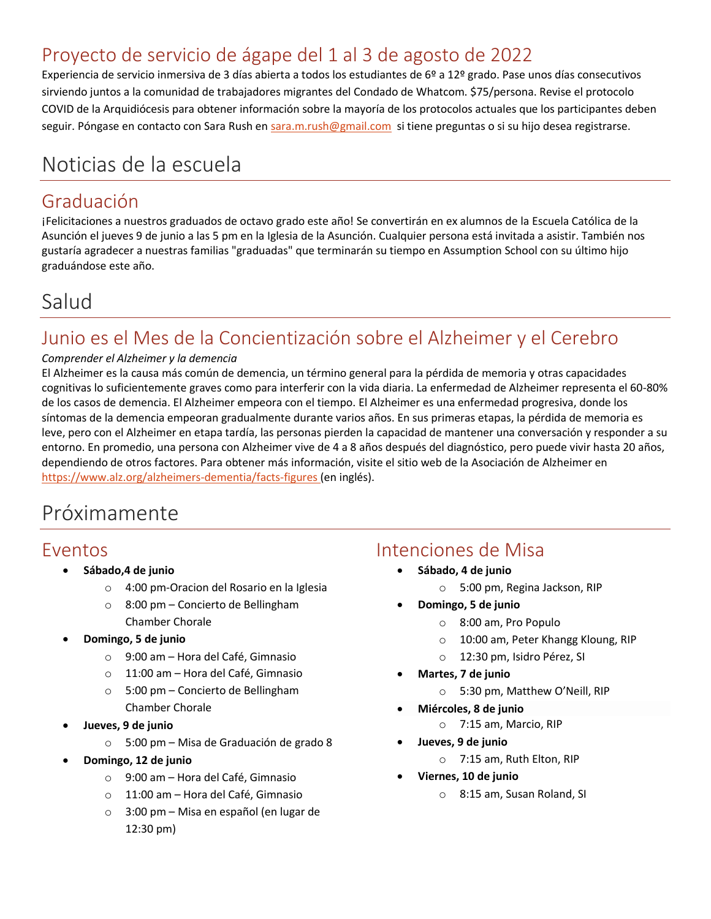## Proyecto de servicio de ágape del 1 al 3 de agosto de 2022

Experiencia de servicio inmersiva de 3 días abierta a todos los estudiantes de 6º a 12º grado. Pase unos días consecutivos sirviendo juntos a la comunidad de trabajadores migrantes del Condado de Whatcom. \$75/persona. Revise el protocolo COVID de la Arquidiócesis para obtener información sobre la mayoría de los protocolos actuales que los participantes deben seguir. Póngase en contacto con Sara Rush en [sara.m.rush@gmail.com](mailto:sara.m.rush@gmail.com) si tiene preguntas o si su hijo desea registrarse.

## Noticias de la escuela

#### Graduación

¡Felicitaciones a nuestros graduados de octavo grado este año! Se convertirán en ex alumnos de la Escuela Católica de la Asunción el jueves 9 de junio a las 5 pm en la Iglesia de la Asunción. Cualquier persona está invitada a asistir. También nos gustaría agradecer a nuestras familias "graduadas" que terminarán su tiempo en Assumption School con su último hijo graduándose este año.

## Salud

## Junio es el Mes de la Concientización sobre el Alzheimer y el Cerebro

#### *Comprender el Alzheimer y la demencia*

El Alzheimer es la causa más común de demencia, un término general para la pérdida de memoria y otras capacidades cognitivas lo suficientemente graves como para interferir con la vida diaria. La enfermedad de Alzheimer representa el 60-80% de los casos de demencia. El Alzheimer empeora con el tiempo. El Alzheimer es una enfermedad progresiva, donde los síntomas de la demencia empeoran gradualmente durante varios años. En sus primeras etapas, la pérdida de memoria es leve, pero con el Alzheimer en etapa tardía, las personas pierden la capacidad de mantener una conversación y responder a su entorno. En promedio, una persona con Alzheimer vive de 4 a 8 años después del diagnóstico, pero puede vivir hasta 20 años, dependiendo de otros factores. Para obtener más información, visite el sitio web de la Asociación de Alzheimer en <https://www.alz.org/alzheimers-dementia/facts-figures> (en inglés).

## Próximamente

#### Eventos

- **Sábado,4 de junio**
	- o 4:00 pm-Oracion del Rosario en la Iglesia
	- o 8:00 pm Concierto de Bellingham Chamber Chorale
- **Domingo, 5 de junio**
	- o 9:00 am Hora del Café, Gimnasio
	- o 11:00 am Hora del Café, Gimnasio
	- o 5:00 pm Concierto de Bellingham Chamber Chorale
- **Jueves, 9 de junio**
	- o 5:00 pm Misa de Graduación de grado 8
	- **Domingo, 12 de junio**
		- o 9:00 am Hora del Café, Gimnasio
		- o 11:00 am Hora del Café, Gimnasio
		- o 3:00 pm Misa en español (en lugar de 12:30 pm)

#### Intenciones de Misa

- **Sábado, 4 de junio**
	- o 5:00 pm, Regina Jackson, RIP
- **Domingo, 5 de junio**
	- o 8:00 am, Pro Populo
	- o 10:00 am, Peter Khangg Kloung, RIP
	- o 12:30 pm, Isidro Pérez, SI
- **Martes, 7 de junio**
	- o 5:30 pm, Matthew O'Neill, RIP
- **Miércoles, 8 de junio**
	- o 7:15 am, Marcio, RIP
- **Jueves, 9 de junio**
	- o 7:15 am, Ruth Elton, RIP
- **Viernes, 10 de junio**
	- o 8:15 am, Susan Roland, SI